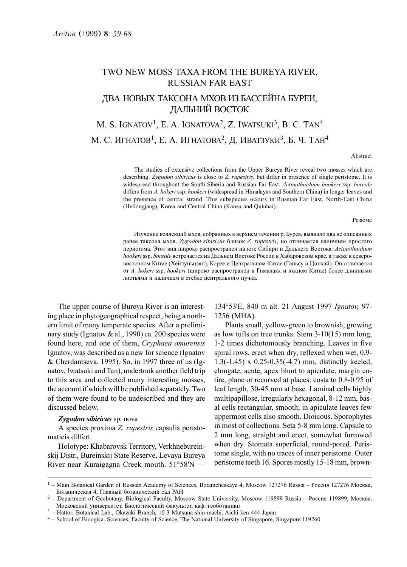# TWO NEW MOSS TAXA FROM THE BUREYA RIVER, RUSSIAN FAR EAST ДВА НОВЫХ ТАКСОНА МХОВ ИЗ БАССЕЙНА БУРЕИ. ЛАЛЬНИЙ ВОСТОК

# M. S. IGNATOV<sup>1</sup>, E. A. IGNATOVA<sup>2</sup>, Z. IWATSUKI<sup>3</sup>, B. C. TAN<sup>4</sup> M. C. ИГНАТОВ<sup>1</sup>, E. A. ИГНАТОВА<sup>2</sup>, Д. ИВАТЗУКИ<sup>3</sup>, Б. Ч. ТАН<sup>4</sup>

#### Abstract

The studies of extensive collections from the Upper Bureya River reveal two mosses which are describing. Zygodon sibiricus is close to Z. rupestris, but differ in presence of single peristome. It is widespread throughout the South Siberia and Russian Far East. Actinothuidium hookeri ssp. boreale differs from A. hokeri ssp. hookeri (widespread in Himalayas and Southern China) in longer leaves and the presence of central strand. This subspecies occurs in Russian Far East, North-East China (Heilongjang), Korea and Central China (Kansu and Quinhai).

Pesione

Изучение коллекций мхов, собранных в верхнем течении р. Бурея, выявило два не описанных ранее таксона мхов. Zygodon sibiricus близок Z. rupestris, но отличается наличием простого перистома. Этот вид широко распространен на юге Сибири и Дальнего Востока. Actinothuidium hookeri ssp. boreale встречается на Дальнем Востоке России в Хабаровском крае, а также в северовосточном Китае (Хейлуньцзян), Корее и Центральном Китае (Ганьсу и Цинхай). Он отличается от A. hokeri ssp. hookeri (широко распространен в Гималаях и южном Китае) более длинными листьями и наличием в стебле центрального пучка.

The upper course of Bureya River is an interesting place in phytogeographical respect, being a northern limit of many temperate species. After a preliminary study (Ignatov & al., 1990) ca. 200 species were found here, and one of them, Cryphaea amurensis Ignatov, was described as a new for science (Ignatov & Cherdantseva, 1995). So, in 1997 three of us (Ignatov, Iwatsuki and Tan), undertook another field trip to this area and collected many interesting mosses, the account if which will be published separately. Two of them were found to be undescribed and they are discussed below.

## Zygodon sibiricus sp. nova

A species proxima Z. rupestris capsulis peristomaticis differt.

Holotype: Khabarovsk Territory, Verkhnebureinskij Distr., Bureinskij State Reserve, Levaya Bureya River near Kuraigagna Creek mouth. 51°58'N —

134°53'E, 840 m alt. 21 August 1997 Ignatov, 97- 1256 (MHA).

Plants small, yellow-green to brownish, growing as low tufts on tree trunks. Stem 3-10(15) mm long, 1-2 times dichotomously branching. Leaves in five spiral rows, erect when dry, reflexed when wet, 0.9- 1.3(-1.45) x 0.25-0.35(-4.7) mm, distinctly keeled, elongate, acute, apex blunt to apiculate, margin entire, plane or recurved at places; costa to 0.8-0.95 of leaf length, 30-45 mm at base. Laminal cells highly multipapillose, irregularly hexagonal, 8-12 mm, basal cells rectangular, smooth; in apiculate leaves few uppermost cells also smooth. Dioicous. Sporophytes in most of collections. Seta 5-8 mm long. Capsule to 2 mm long, straight and erect, somewhat furrowed when dry. Stomata superficial, round-pored. Peristome single, with no traces of inner peristome. Outer peristome teeth 16. Spores mostly 15-18 mm, brown-

 $1 -$  Main Botanical Garden of Russian Academy of Sciences, Botanicheskaya 4, Moscow 127276 Russia – Россия 127276 Москва, Ботаническая 4, Главный ботанический сал РАН

<sup>&</sup>lt;sup>2</sup> – Department of Geobotany, Biological Faculty, Moscow State University, Moscow 119899 Russia – Россия 119899, Москва, Московский университет, Биологический факультет, каф. геоботаники

<sup>3</sup> – Hattori Botanical Lab., Okazaki Branch, 10-3 Mutsuna-shin-machi, Aichi-ken 444 Japan

<sup>4</sup> – School of Bioogica. Sciences, Faculty of Science, The National University of Singapore, Singapore 119260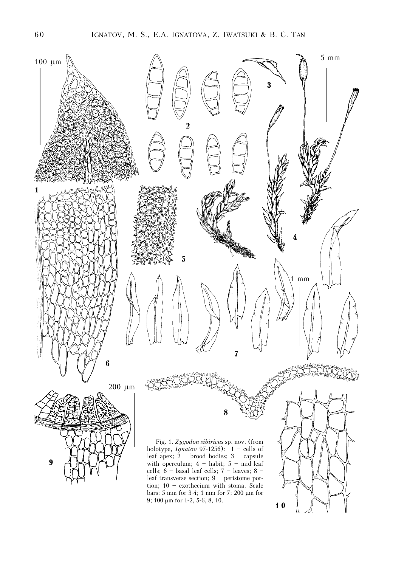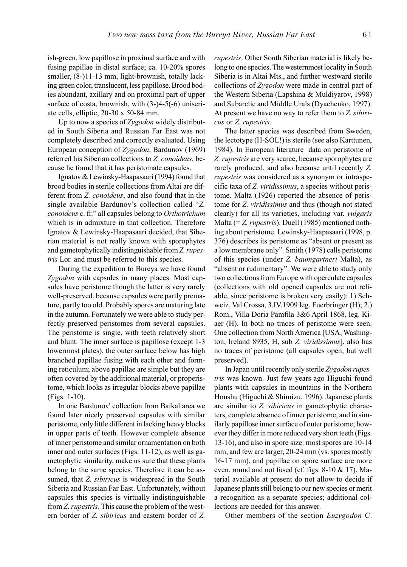ish-green, low papillose in proximal surface and with fusing papillae in distal surface; ca. 10-20% spores smaller, (8-)11-13 mm, light-brownish, totally lacking green color, translucent, less papillose. Brood bodies abundant, axillary and on proximal part of upper surface of costa, brownish, with (3-)4-5(-6) uniseriate cells, elliptic, 20-30 x 50-84 mm.

Up to now a species of Zygodon widely distributed in South Siberia and Russian Far East was not completely described and correctly evaluated. Using European conception of Zygodon, Bardunov (1969) referred his Siberian collections to Z. conoideus, because he found that it has peristomate capsules.

Ignatov & Lewinsky-Haapasaari (1994) found that brood bodies in sterile collections from Altai are different from Z. conoideus, and also found that in the single available Bardunov's collection called "Z. conoideus c. fr." all capsules belong to Orthotrichum which is in admixture in that collection. Therefore Ignatov & Lewinsky-Haapasaari decided, that Siberian material is not really known with sporophytes and gametophytically indistinguishable from Z. rupestris Lor. and must be referred to this species.

During the expedition to Bureya we have found Zygodon with capsules in many places. Most capsules have peristome though the latter is very rarely well-preserved, because capsules were partly premature, partly too old. Probably spores are maturing late in the autumn. Fortunately we were able to study perfectly preserved peristomes from several capsules. The peristome is single, with teeth relatively short and blunt. The inner surface is papillose (except 1-3 lowermost plates), the outer surface below has high branched papillae fusing with each other and forming reticulum; above papillae are simple but they are often covered by the additional material, or properistome, which looks as irregular blocks above papillae (Figs. 1-10).

In one Bardunov' collection from Baikal area we found later nicely preserved capsules with similar peristome, only little different in lacking heavy blocks in upper parts of teeth. However complete absence of inner peristome and similar ornamentation on both inner and outer surfaces (Figs. 11-12), as well as gametophytic similarity, make us sure that these plants belong to the same species. Therefore it can be assumed, that Z. sibiricus is widespread in the South Siberia and Russian Far East. Unfortunately, without capsules this species is virtually indistinguishable from Z. *rupestris*. This cause the problem of the western border of Z. sibiricus and eastern border of Z.

rupestris. Other South Siberian material is likely belong to one species. The westernmost locality in South Siberia is in Altai Mts., and further westward sterile collections of Zygodon were made in central part of the Western Siberia (Lapshina & Muldiyarov, 1998) and Subarctic and Middle Urals (Dyachenko, 1997). At present we have no way to refer them to Z. sibiricus or Z. rupestris.

The latter species was described from Sweden, the lectotype (H-SOL!) is sterile (see also Karttunen, 1984). In European literature data on peristome of Z. rupestris are very scarce, because sporophytes are rarely produced, and also because until recently Z. rupestris was considered as a synonym or intraspecific taxa of Z. viridissimus, a species without peristome. Malta (1926) reported the absence of peristome for Z. viridissimus and thus (though not stated clearly) for all its varieties, including var. vulgaris Malta (=  $Z.$  *rupestris*). Duell (1985) mentioned nothing about peristome. Lewinsky-Haapasaari (1998, p. 376) describes its peristome as "absent or present as a low membrane only". Smith (1978) calls peristome of this species (under Z. baumgartneri Malta), as "absent or rudimentary". We were able to study only two collections from Europe with operculate capsules (collections with old opened capsules are not reliable, since peristome is broken very easily): 1) Schweiz, Val Crossa, 3.IV.1909 leg. Fuerbringer (H); 2.) Rom., Villa Doria Pamfila 3&6 April 1868, leg. Kiaer (H). In both no traces of peristome were seen. One collection from North America [USA, Washington, Ireland 8935, H, sub Z. viridissimus], also has no traces of peristome (all capsules open, but well preserved).

In Japan until recently only sterile Zygodon rupestris was known. Just few years ago Higuchi found plants with capsules in mountains in the Northern Honshu (Higuchi & Shimizu, 1996). Japanese plants are similar to Z. sibiricus in gametophytic characters, complete absence of inner peristome, and in similarly papillose inner surface of outer peristome; however they differ in more reduced very short teeth (Figs. 13-16), and also in spore size: most spores are 10-14 mm, and few are larger, 20-24 mm (vs. spores mostly 16-17 mm), and papillae on spore surface are more even, round and not fused (cf. figs. 8-10 & 17). Material available at present do not allow to decide if Japanese plants still belong to our new species or merit a recognition as a separate species; additional collections are needed for this answer.

Other members of the section Euzygodon C.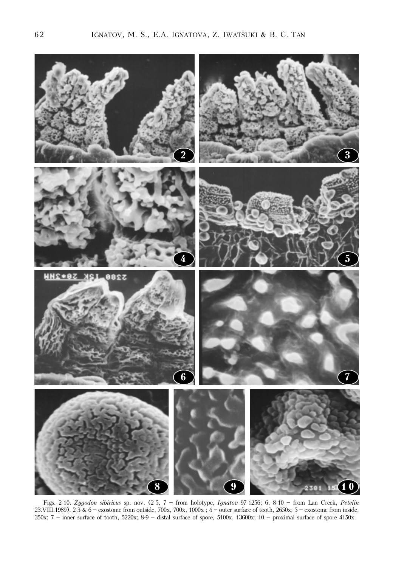

Figs. 2-10. Zygodon sibiricus sp. nov. (2-5, 7 – from holotype, Ignatov 97-1256; 6, 8-10 – from Lan Creek, Petelin 23.VIII.1989). 2-3 & 6 – exostome from outside, 700x, 700x, 1000x ; 4 – outer surface of tooth, 2650x; 5 – exostome from inside, 350x; 7 – inner surface of tooth, 5220x; 8-9 – distal surface of spore, 5100x, 13600x; 10 – proximal surface of spore 4150x.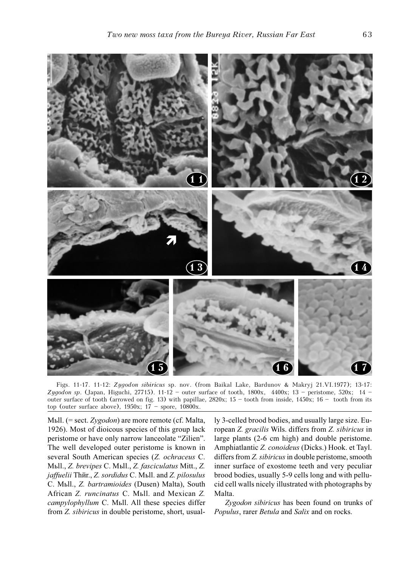

Figs. 11-17. 11-12: Zygodon sibiricus sp. nov. (from Baikal Lake, Bardunov & Makryj 21.VI.1977); 13-17: Zygodon sp. (Japan, Higuchi, 27715). 11-12 – outer surface of tooth, 1800x, 4400x; 13 – peristome, 520x; 14 – outer surface of tooth (arrowed on fig. 13) with papillae,  $2820x$ ;  $15 -$  tooth from inside,  $1450x$ ;  $16 -$  tooth from its top (outer surface above),  $1950x$ ;  $17$  – spore,  $10800x$ .

Mыll. (= sect. Zygodon) are more remote (cf. Malta, 1926). Most of dioicous species of this group lack peristome or have only narrow lanceolate "Zilien". The well developed outer peristome is known in several South American species (Z. ochraceus C. Müll., Z. brevipes C. Müll., Z. fasciculatus Mitt., Z. jaffuelii Thŭr., Z. sordidus C. Mull. and Z. pilosulus C. Müll., Z. bartramioides (Dusen) Malta), South African Z. runcinatus С. Mыll. and Mexican Z. campylophyllum C. Mbll. All these species differ from Z. sibiricus in double peristome, short, usually 3-celled brood bodies, and usually large size. European Z. gracilis Wils. differs from Z. sibiricus in large plants (2-6 cm high) and double peristome. Amphiatlantic Z. conoideus (Dicks.) Hook. et Tayl. differs from Z. sibiricus in double peristome, smooth inner surface of exostome teeth and very peculiar brood bodies, usually 5-9 cells long and with pellucid cell walls nicely illustrated with photographs by Malta.

Zygodon sibiricus has been found on trunks of Populus, rarer Betula and Salix and on rocks.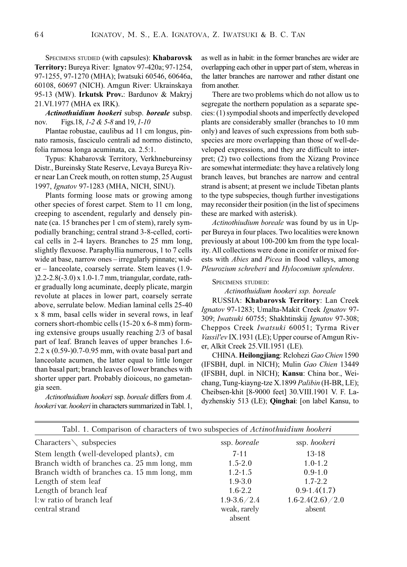SPECIMENS STUDIED (with capsules): Khabarovsk Territory: Bureya River: Ignatov 97-420a; 97-1254, 97-1255, 97-1270 (MHA); Iwatsuki 60546, 60646a, 60108, 60697 (NICH). Amgun River: Ukrainskaya 95-13 (MW). Irkutsk Prov.: Bardunov & Makryj 21.VI.1977 (MHA ex IRK).

Actinothuidium hookeri subsp. boreale subsp. nov. Figs. 18, 1-2 & 5-8 and 19, 1-10

Plantae robustae, caulibus ad 11 cm longus, pinnato ramosis, fasciculo centrali ad normo distincto, folia ramosa longa acuminata, ca. 2.5:1.

Typus: Khabarovsk Territory, Verkhnebureinsy Distr., Bureinsky State Reserve, Levaya Bureya River near Lan Creek mouth, on rotten stump, 25 August 1997, Ignatov 97-1283 (MHA, NICH, SINU).

Plants forming loose mats or growing among other species of forest carpet. Stem to 11 cm long, creeping to ascendent, regularly and densely pinnate (ca. 15 branches per 1 cm of stem), rarely sympodially branching; central strand 3-8-celled, cortical cells in 2-4 layers. Branches to 25 mm long, slightly flexuose. Paraphyllia numerous, 1 to 7 cells wide at base, narrow ones – irregularly pinnate; wider – lanceolate, coarsely serrate. Stem leaves (1.9- )2.2-2.8(-3.0) x 1.0-1.7 mm, triangular, cordate, rather gradually long acuminate, deeply plicate, margin revolute at places in lower part, coarsely serrate above, serrulate below. Median laminal cells 25-40 x 8 mm, basal cells wider in several rows, in leaf corners short-rhombic cells (15-20 x 6-8 mm) forming extensive groups usually reaching 2/3 of basal part of leaf. Branch leaves of upper branches 1.6- 2.2 x (0.59-)0.7-0.95 mm, with ovate basal part and lanceolate acumen, the latter equal to little longer than basal part; branch leaves of lower branches with shorter upper part. Probably dioicous, no gametangia seen.

Actinothuidium hookeri ssp. boreale differs from A. hookeri var. hookeri in characters summarized in Tabl. 1, as well as in habit: in the former branches are wider are overlapping each other in upper part of stem, whereas in the latter branches are narrower and rather distant one from another.

There are two problems which do not allow us to segregate the northern population as a separate species: (1) sympodial shoots and imperfectly developed plants are considerably smaller (branches to 10 mm only) and leaves of such expressions from both subspecies are more overlapping than those of well-developed expressions, and they are difficult to interpret; (2) two collections from the Xizang Province are somewhat intermediate: they have a relatively long branch leaves, but branches are narrow and central strand is absent; at present we include Tibetan plants to the type subspecies, though further investigations may reconsider their position (in the list of specimens these are marked with asterisk).

Actinothiudium boreale was found by us in Upper Bureya in four places. Two localities were known previously at about 100-200 km from the type locality. All collections were done in conifer or mixed forests with Abies and Picea in flood valleys, among Pleurozium schreberi and Hylocomium splendens.

# SPECIMENS STUDIED:

Actinothuidium hookeri ssp. boreale

RUSSIA: Khabarovsk Territory: Lan Creek Ignatov 97-1283; Umalta-Makit Creek Ignatov 97- 309; Iwatsuki 60755; Shakhtinskij Ignatov 97-308; Cheppos Creek Iwatsuki 60051; Tyrma River Vassil'ev IX.1931 (LE); Upper course of Amgun River, Alkit Creek 25.VII.1951 (LE).

CHINA. Heilongjiang: Rclohezi Gao Chien 1590 (IFSBH, dupl. in NICH); Mulin Gao Chien 13449 (IFSBH, dupl. in NICH); Kansu: China bor., Weichang, Tung-kiayng-tze X.1899 Palibin (H-BR, LE); Cheibsen-khit [8-9000 feet] 30.VIII.1901 V. F. Ladyzhenskiy 513 (LE); Qinghai: [on label Kansu, to

| Tabl. 1. Comparison of characters of two subspecies of <i>Actinothuidium hookeri</i> |                        |                        |
|--------------------------------------------------------------------------------------|------------------------|------------------------|
| Characters $\setminus$ subspecies                                                    | ssp. boreale           | ssp. hookeri           |
| Stem length (well-developed plants), cm                                              | $7 - 11$               | $13 - 18$              |
| Branch width of branches ca. 25 mm long, mm                                          | $1.5 - 2.0$            | $1.0 - 1.2$            |
| Branch width of branches ca. 15 mm long, mm                                          | $1.2 - 1.5$            | $0.9 - 1.0$            |
| Length of stem leaf                                                                  | $1.9 - 3.0$            | $1.7 - 2.2$            |
| Length of branch leaf                                                                | $1.6 - 2.2$            | $0.9 - 1.4(1.7)$       |
| l:w ratio of branch leaf                                                             | $1.9 - 3.6 / 2.4$      | $1.6 - 2.4(2.6) / 2.0$ |
| central strand                                                                       | weak, rarely<br>absent | absent                 |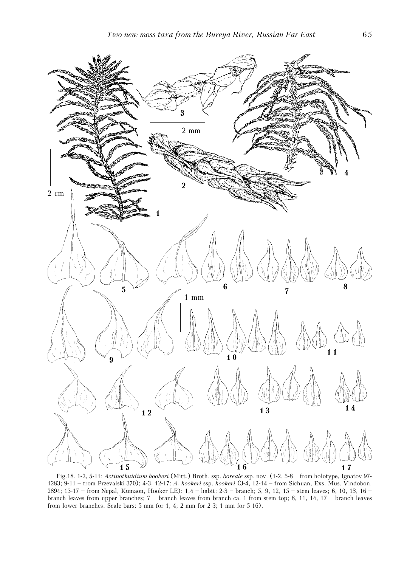

Fig.18. 1-2, 5-11: Actinothuidium hookeri (Mitt.) Broth. ssp. boreale ssp. nov. (1-2, 5-8 – from holotype, Ignatov 97- 1283; 9-11 – from Przevalski 370); 4-3, 12-17: A. hookeri ssp. hookeri (3-4, 12-14 – from Sichuan, Exs. Mus. Vindobon. 2894; 15-17 – from Nepal, Kumaon, Hooker LE): 1,4 – habit; 2-3 – branch; 5, 9, 12, 15 – stem leaves; 6, 10, 13, 16 – branch leaves from upper branches; 7 – branch leaves from branch ca. 1 from stem top; 8, 11, 14, 17 – branch leaves from lower branches. Scale bars: 5 mm for 1, 4; 2 mm for 2-3; 1 mm for 5-16).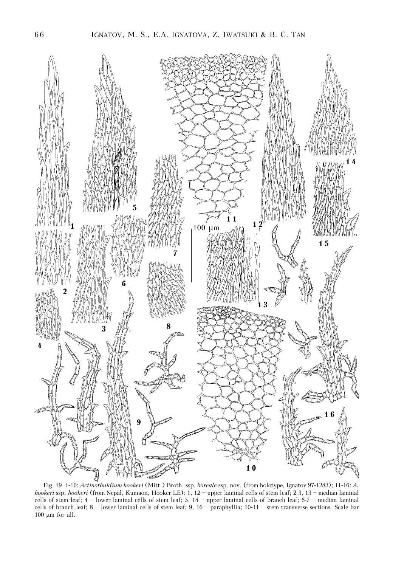

Fig. 19. 1-10: Actinothuidium hookeri (Mitt.) Broth. ssp. boreale ssp. nov. (from holotype, Ignatov 97-1283); 11-16: A. hookeri ssp. hookeri (from Nepal, Kumaon, Hooker LE): 1, 12 – upper laminal cells of stem leaf; 2-3, 13 – median laminal cells of stem leaf; 4 – lower laminal cells of stem leaf; 5, 14 – upper laminal cells of branch leaf; 6-7 – median laminal cells of branch leaf; 8 – lower laminal cells of stem leaf; 9, 16 – paraphyllia; 10-11 – stem transverse sections. Scale bar 100  $\mu$ m for all.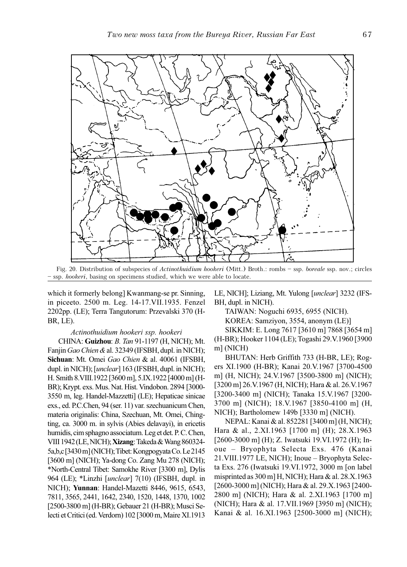

Fig. 20. Distribution of subspecies of *Actinothuidium hookeri* (Mitt.) Broth.: rombs - ssp. boreale ssp. nov.; circles – ssp. hookeri, basing on specimens studied, which we were able to locate.

which it formerly belong] Kwanmang-se pr. Sinning, in piceeto. 2500 m. Leg. 14-17.VII.1935. Fenzel 2202pp. (LE); Terra Tangutorum: Przevalski 370 (H-BR, LE).

### Actinothuidium hookeri ssp. hookeri

CHINA: Guizhou: B. Tan 91-1197 (H, NICH); Mt. Fanjin Gao Chien & al. 32349 (IFSBH, dupl. in NICH); Sichuan: Mt. Omei Gao Chien & al. 40061 (IFSBH, dupl. in NICH); [unclear] 163 (IFSBH, dupl. in NICH); H. Smith 8.VIII.1922 [3600 m], 5.IX.1922 [4000 m] (H-BR); Krypt. exs. Mus. Nat. Hist. Vindobon. 2894 [3000- 3550 m, leg. Handel-Mazzetti] (LE); Hepaticae sinicae exs., ed. P.C.Chen, 94 (ser. 11) var. szechuanicum Chen, materia originalis: China, Szechuan, Mt. Omei, Chingting, ca. 3000 m. in sylvis (Abies delavayi), in ericetis humidis, cim sphagno associatum. Leg et det. P. C. Chen, VIII 1942 (LE, NICH); Xizang: Takeda & Wang 860324- 5a,b,c [3430 m] (NICH); Tibet: Kongpogyata Co. Le 2145 [3600 m] (NICH); Ya-dong Co. Zang Mu 278 (NICH); \*North-Central Tibet: Samokhe River [3300 m], Dylis 964 (LE); \*Linzhi [*unclear*] 7(10) (IFSBH, dupl. in NICH); Yunnan: Handel-Mazetti 8446, 9615, 6543, 7811, 3565, 2441, 1642, 2340, 1520, 1448, 1370, 1002 [2500-3800 m] (H-BR); Gebauer 21 (H-BR); Musci Selecti et Critici (ed. Verdorn) 102 [3000 m, Maire XI.1913 LE, NICH]; Liziang, Mt. Yulong [unclear] 3232 (IFS-BH, dupl. in NICH).

TAIWAN: Noguchi 6935, 6955 (NICH).

KOREA: Samziyon, 3554, anonym (LE)]

SIKKIM: E. Long 7617 [3610 m] 7868 [3654 m] (H-BR); Hooker 1104 (LE); Togashi 29.V.1960 [3900 m] (NICH)

BHUTAN: Herb Griffith 733 (H-BR, LE); Rogers XI.1900 (H-BR); Kanai 20.V.1967 [3700-4500 m] (H, NICH); 24.V.1967 [3500-3800 m] (NICH); [3200 m] 26.V.1967 (H, NICH); Hara & al. 26.V.1967 [3200-3400 m] (NICH); Tanaka 15.V.1967 [3200- 3700 m] (NICH); 18.V.1967 [3850-4100 m] (H, NICH); Bartholomew 149b [3330 m] (NICH).

NEPAL: Kanai & al. 852281 [3400 m] (H, NICH); Hara & al., 2.XI.1963 [1700 m] (H); 28.X.1963 [2600-3000 m] (H); Z. Iwatsuki 19.VI.1972 (H); Inoue – Bryophyta Selecta Exs. 476 (Kanai 21.VIII.1977 LE, NICH); Inoue – Bryophyta Selecta Exs. 276 (Iwatsuki 19.VI.1972, 3000 m [on label misprinted as 300 m] H, NICH); Hara & al. 28.X.1963 [2600-3000 m] (NICH); Hara & al. 29.X.1963 [2400- 2800 m] (NICH); Hara & al. 2.XI.1963 [1700 m] (NICH); Hara & al. 17.VII.1969 [3950 m] (NICH); Kanai & al. 16.XI.1963 [2500-3000 m] (NICH);